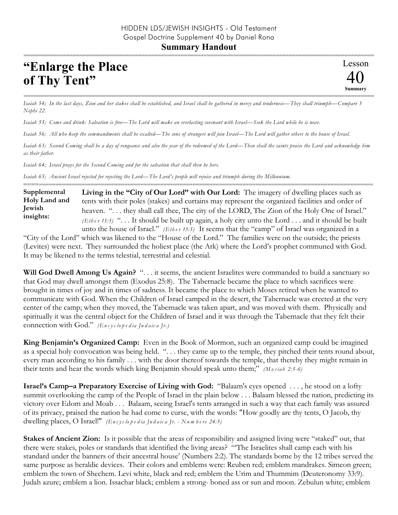## **"Enlarge the Place of Thy Tent"**

*Isaiah 54; In the last days, Zion and her stakes shall be established, and Israel shall be gathered in mercy and tenderness—They shall triumph—Compare 3 Nephi 22.* 

===========================================================================================================

*Isaiah 55; Come and drink: Salvation is free—The Lord will make an everlasting covenant with Israel—Seek the Lord while he is near.* 

*Isaiah 56; All who keep the commandments shall be exalted—The sons of strangers will join Israel—The Lord will gather others to the house of Israel.*

*Isaiah 63; Second Coming shall be a day of vengeance and also the year of the redeemed of the Lord—Then shall the saints praise the Lord and acknowledge him as their father.* 

*Isaiah 64; Israel prays for the Second Coming and for the salvation that shall then be hers.* 

*Isaiah 65; Ancient Israel rejected for rejecting the Lord—The Lord's people will rejoice and triumph during the Millennium.* 

**Living in the "City of Our Lord" with Our Lord:** The imagery of dwelling places such as tents with their poles (stakes) and curtains may represent the organized facilities and order of heaven. "... they shall call thee, The city of the LORD, The Zion of the Holy One of Israel." *(Eth e r 13:5)* ". . . It should be built up again, a holy city unto the Lord . . . and it should be built unto the house of Israel." *(Ether 13:5)* It seems that the "camp" of Israel was organized in a **Supplemental Holy Land and Jewish insights:**

==========================================================================================================

"City of the Lord" which was likened to the "House of the Lord." The families were on the outside; the priests (Levites) were next. They surrounded the holiest place (the Ark) where the Lord's prophet communed with God. It may be likened to the terms telestial, terrestrial and celestial.

**Will God Dwell Among Us Again?** ". . . it seems, the ancient Israelites were commanded to build a sanctuary so that God may dwell amongst them (Exodus 25:8). The Tabernacle became the place to which sacrifices were brought in times of joy and in times of sadness. It became the place to which Moses retired when he wanted to communicate with God. When the Children of Israel camped in the desert, the Tabernacle was erected at the very center of the camp; when they moved, the Tabernacle was taken apart, and was moved with them. Physically and spiritually it was the central object for the Children of Israel and it was through the Tabernacle that they felt their connection with God." *(En c y c lo p e d ia Ju d a ic a Jr.)*

**King Benjamin's Organized Camp:** Even in the Book of Mormon, such an organized camp could be imagined as a special holy convocation was being held. ". . . they came up to the temple, they pitched their tents round about, every man according to his family . . . with the door thereof towards the temple, that thereby they might remain in their tents and hear the words which king Benjamin should speak unto them;" *(M o s ia h 2:5-6)*

**Israel's Camp–a Preparatory Exercise of Living with God:** "Balaam's eyes opened . . . , he stood on a lofty summit overlooking the camp of the People of Israel in the plain below . . . Balaam blessed the nation, predicting its victory over Edom and Moab . . . Balaam, seeing Israel's tents arranged in such a way that each family was assured of its privacy, praised the nation he had come to curse, with the words: "How goodly are thy tents, O Jacob, thy dwelling places, O Israel!" *(En c y c lo p e d ia Ju d a ic a Jr. - Nu m b e rs 24:5)*

**Stakes of Ancient Zion:** Is it possible that the areas of responsibility and assigned living were "staked" out, that there were stakes, poles or standards that identified the living areas? "'The Israelites shall camp each with his standard under the banners of their ancestral house' (Numbers 2:2). The standards borne by the 12 tribes served the same purpose as heraldic devices. Their colors and emblems were: Reuben red; emblem mandrakes. Simeon green; emblem the town of Shechem. Levi white, black and red; emblem the Urim and Thummim (Deuteronomy 33:9). Judah azure; emblem a lion. Issachar black; emblem a strong- boned ass or sun and moon. Zebulun white; emblem